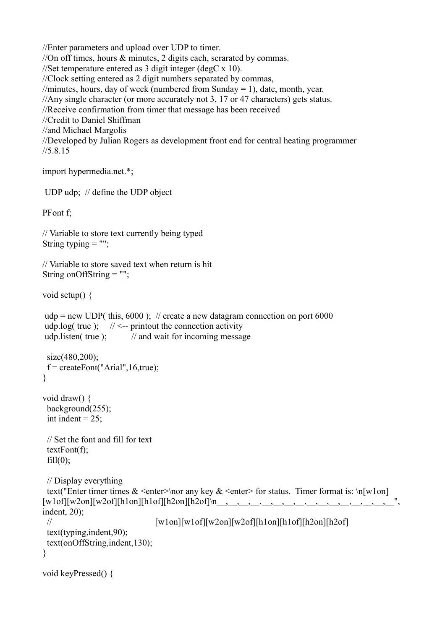//Enter parameters and upload over UDP to timer. //On off times, hours & minutes, 2 digits each, serarated by commas. //Set temperature entered as 3 digit integer (degC x 10). //Clock setting entered as 2 digit numbers separated by commas, //minutes, hours, day of week (numbered from Sunday = 1), date, month, year. //Any single character (or more accurately not 3, 17 or 47 characters) gets status. //Receive confirmation from timer that message has been received //Credit to Daniel Shiffman //and Michael Margolis //Developed by Julian Rogers as development front end for central heating programmer //5.8.15

```
import hypermedia.net.*;
```

```
 UDP udp; // define the UDP object
```
PFont f;

```
// Variable to store text currently being typed
String typing = "":
```

```
// Variable to store saved text when return is hit
String onOffString = "";
```
void setup() {

```
\muudp = new UDP( this, 6000); // create a new datagram connection on port 6000
udp.log( true ); \frac{1}{5} // <-- printout the connection activity
udp.listen( true ); \frac{1}{2} // and wait for incoming message
```

```
size(480,200);
 f = \text{createFont}("Arial", 16, \text{true});}
```

```
void draw() {
  background(255);
 int indent = 25;
```
 // Set the font and fill for text textFont(f);  $fill(0);$ 

```
 // Display everything
 text("Enter timer times < enter> \nor any key < enter> for status. Timer format is: \n[w1on]
[w1of][w2on][w2of][h1on][h1of][h2on][h2of]\n__,__,__,__,__,__,__,__,__,__,__,__,__,__,__,__", 
indent, 20);
// \text{[w1on]}[\text{w1of}][\text{w2on}][\text{w2of}][\text{h1on}][\text{h1of}][\text{h2on}][\text{h2of}] text(typing,indent,90);
  text(onOffString,indent,130);
}
```

```
void keyPressed() {
```